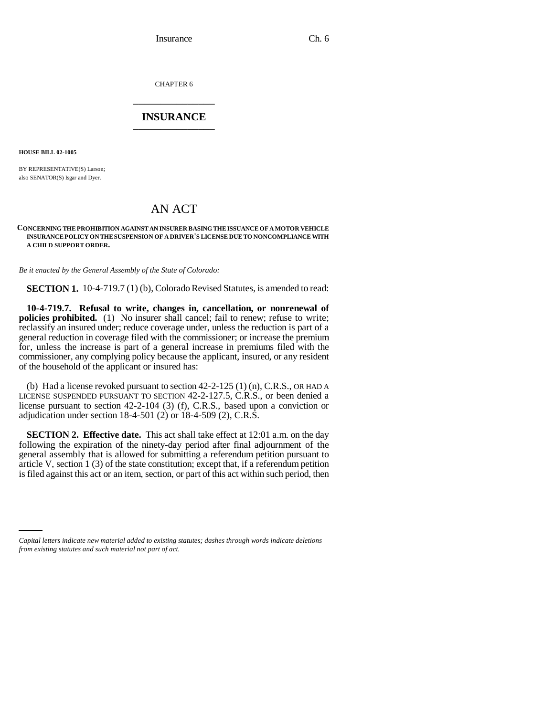Insurance Ch. 6

CHAPTER 6 \_\_\_\_\_\_\_\_\_\_\_\_\_\_\_

## **INSURANCE** \_\_\_\_\_\_\_\_\_\_\_\_\_\_\_

**HOUSE BILL 02-1005**

BY REPRESENTATIVE(S) Larson; also SENATOR(S) Isgar and Dyer.

## AN ACT

## **CONCERNING THE PROHIBITION AGAINST AN INSURER BASING THE ISSUANCE OF A MOTOR VEHICLE INSURANCE POLICY ON THE SUSPENSION OF A DRIVER'S LICENSE DUE TO NONCOMPLIANCE WITH A CHILD SUPPORT ORDER.**

*Be it enacted by the General Assembly of the State of Colorado:*

**SECTION 1.** 10-4-719.7 (1) (b), Colorado Revised Statutes, is amended to read:

**10-4-719.7. Refusal to write, changes in, cancellation, or nonrenewal of policies prohibited.** (1) No insurer shall cancel; fail to renew; refuse to write; reclassify an insured under; reduce coverage under, unless the reduction is part of a general reduction in coverage filed with the commissioner; or increase the premium for, unless the increase is part of a general increase in premiums filed with the commissioner, any complying policy because the applicant, insured, or any resident of the household of the applicant or insured has:

(b) Had a license revoked pursuant to section  $42-2-125$  (1) (n), C.R.S., OR HAD A LICENSE SUSPENDED PURSUANT TO SECTION 42-2-127.5, C.R.S., or been denied a license pursuant to section 42-2-104 (3) (f), C.R.S., based upon a conviction or adjudication under section 18-4-501 (2) or 18-4-509 (2), C.R.S.

**SECTION 2. Effective date.** This act shall take effect at 12:01 a.m. on the day following the expiration of the ninety-day period after final adjournment of the general assembly that is allowed for submitting a referendum petition pursuant to article V, section 1 (3) of the state constitution; except that, if a referendum petition is filed against this act or an item, section, or part of this act within such period, then

*Capital letters indicate new material added to existing statutes; dashes through words indicate deletions from existing statutes and such material not part of act.*